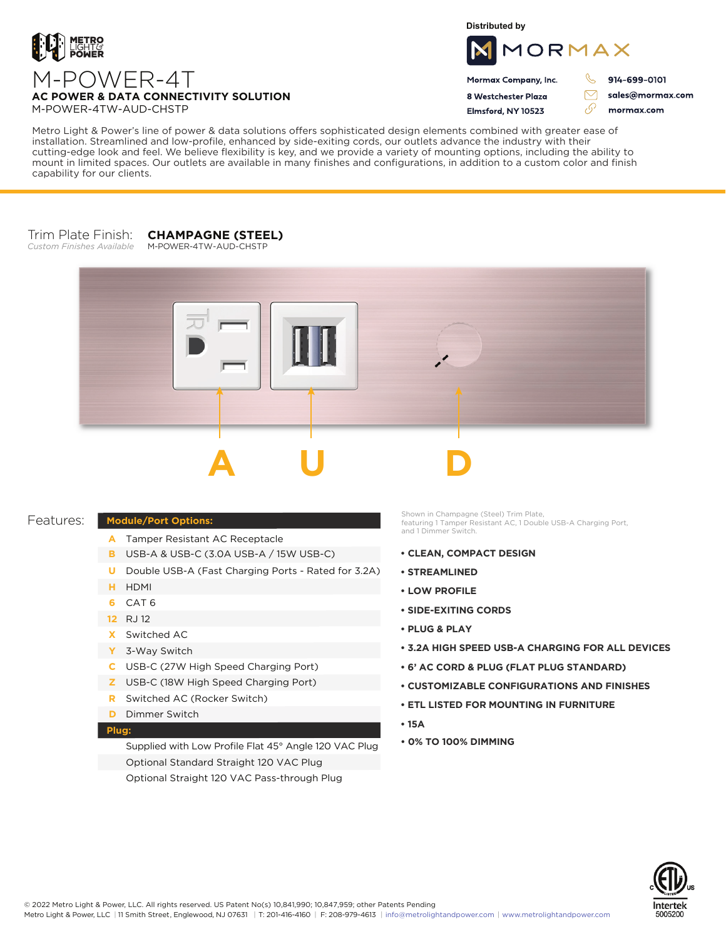

**Distributed by**



Mormax Company, Inc. 8 Westchester Plaza

Flmsford, NY 10523

914-699-0101

 $\triangledown$ 

76

sales@mormax.com mormax.com

M-POWER-4T **AC POWER & DATA CONNECTIVITY SOLUTION** M-POWER-4TW-AUD-CHSTP

Metro Light & Power's line of power & data solutions offers sophisticated design elements combined with greater ease of installation. Streamlined and low-profile, enhanced by side-exiting cords, our outlets advance the industry with their cutting-edge look and feel. We believe flexibility is key, and we provide a variety of mounting options, including the ability to mount in limited spaces. Our outlets are available in many finishes and configurations, in addition to a custom color and finish capability for our clients.

## Trim Plate Finish: *Custom Finishes Available* **CHAMPAGNE (STEEL)** M-POWER-4TW-AUD-CHSTP



## Features:

## **Module/Port Options:**

- A Tamper Resistant AC Receptacle
- USB-A & USB-C (3.0A USB-A / 15W USB-C) **B**
- U Double USB-A (Fast Charging Ports Rated for 3.2A)
- HDMI **H**
- CAT 6 **6**
- 12 RJ 12
- Switched AC **X**
- 3-Way Switch **Y**
- USB-C (27W High Speed Charging Port) **C**
- USB-C (18W High Speed Charging Port) **Z**
- Switched AC (Rocker Switch) **R**
- **D** Dimmer Switch

## **Plug:**

Supplied with Low Profile Flat 45° Angle 120 VAC Plug Optional Standard Straight 120 VAC Plug Optional Straight 120 VAC Pass-through Plug

Shown in Champagne (Steel) Trim Plate, featuring 1 Tamper Resistant AC, 1 Double USB-A Charging Port, and 1 Dimmer Switch.

- **• CLEAN, COMPACT DESIGN**
- **• STREAMLINED**
- **• LOW PROFILE**
- **• SIDE-EXITING CORDS**
- **• PLUG & PLAY**
- **• 3.2A HIGH SPEED USB-A CHARGING FOR ALL DEVICES**
- **• 6' AC CORD & PLUG (FLAT PLUG STANDARD)**
- **• CUSTOMIZABLE CONFIGURATIONS AND FINISHES**
- **• ETL LISTED FOR MOUNTING IN FURNITURE**
- **• 15A**
- **• 0% TO 100% DIMMING**